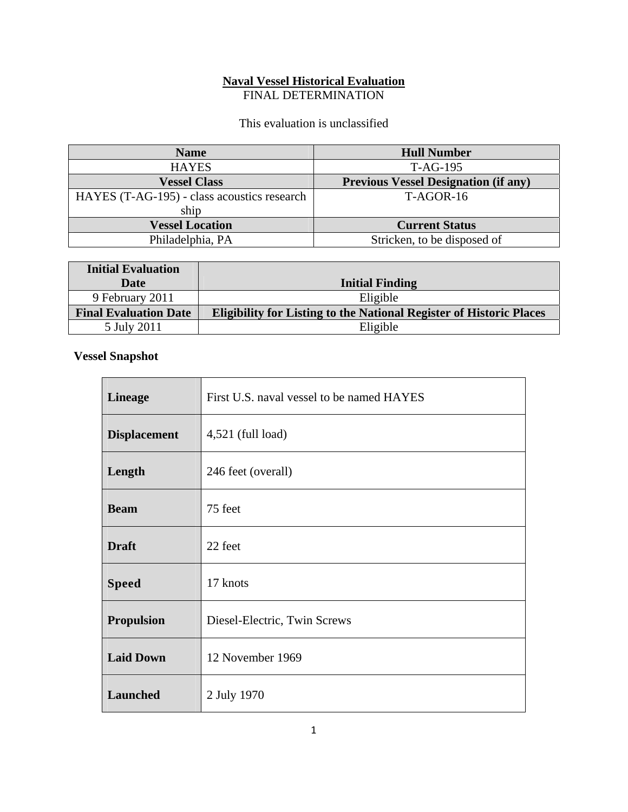## **Naval Vessel Historical Evaluation**  FINAL DETERMINATION

This evaluation is unclassified

| <b>Name</b>                                 | <b>Hull Number</b>                          |
|---------------------------------------------|---------------------------------------------|
| <b>HAYES</b>                                | $T-AG-195$                                  |
| <b>Vessel Class</b>                         | <b>Previous Vessel Designation (if any)</b> |
| HAYES (T-AG-195) - class acoustics research | $T-AGOR-16$                                 |
| ship                                        |                                             |
| <b>Vessel Location</b>                      | <b>Current Status</b>                       |
| Philadelphia, PA                            | Stricken, to be disposed of                 |

| <b>Initial Evaluation</b>    |                                                                            |
|------------------------------|----------------------------------------------------------------------------|
| Date                         | <b>Initial Finding</b>                                                     |
| 9 February 2011              | Eligible                                                                   |
| <b>Final Evaluation Date</b> | <b>Eligibility for Listing to the National Register of Historic Places</b> |
| 5 July 2011                  | Eligible                                                                   |

## **Vessel Snapshot**

| <b>Lineage</b>      | First U.S. naval vessel to be named HAYES |
|---------------------|-------------------------------------------|
| <b>Displacement</b> | $4,521$ (full load)                       |
| Length              | 246 feet (overall)                        |
| <b>Beam</b>         | 75 feet                                   |
| <b>Draft</b>        | 22 feet                                   |
| <b>Speed</b>        | 17 knots                                  |
| <b>Propulsion</b>   | Diesel-Electric, Twin Screws              |
| <b>Laid Down</b>    | 12 November 1969                          |
| Launched            | 2 July 1970                               |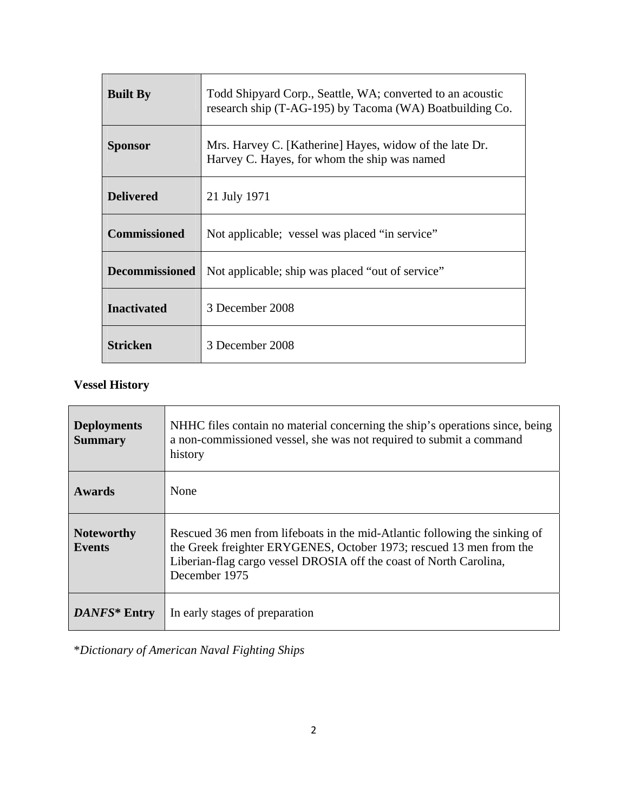| <b>Built By</b>       | Todd Shipyard Corp., Seattle, WA; converted to an acoustic<br>research ship (T-AG-195) by Tacoma (WA) Boatbuilding Co. |
|-----------------------|------------------------------------------------------------------------------------------------------------------------|
| <b>Sponsor</b>        | Mrs. Harvey C. [Katherine] Hayes, widow of the late Dr.<br>Harvey C. Hayes, for whom the ship was named                |
| <b>Delivered</b>      | 21 July 1971                                                                                                           |
| <b>Commissioned</b>   | Not applicable; vessel was placed "in service"                                                                         |
| <b>Decommissioned</b> | Not applicable; ship was placed "out of service"                                                                       |
| <b>Inactivated</b>    | 3 December 2008                                                                                                        |
| <b>Stricken</b>       | 3 December 2008                                                                                                        |

## **Vessel History**

| <b>Deployments</b><br><b>Summary</b> | NHHC files contain no material concerning the ship's operations since, being<br>a non-commissioned vessel, she was not required to submit a command<br>history                                                                           |
|--------------------------------------|------------------------------------------------------------------------------------------------------------------------------------------------------------------------------------------------------------------------------------------|
| <b>Awards</b>                        | None                                                                                                                                                                                                                                     |
| <b>Noteworthy</b><br><b>Events</b>   | Rescued 36 men from lifeboats in the mid-Atlantic following the sinking of<br>the Greek freighter ERYGENES, October 1973; rescued 13 men from the<br>Liberian-flag cargo vessel DROSIA off the coast of North Carolina,<br>December 1975 |
| DANFS* Entry                         | In early stages of preparation                                                                                                                                                                                                           |

\**Dictionary of American Naval Fighting Ships*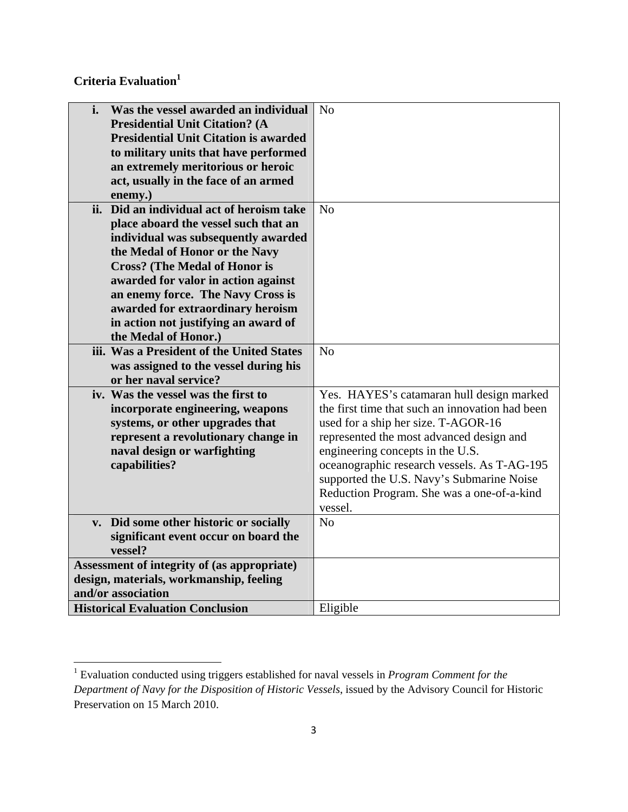**Criteria Evaluation1**

| Was the vessel awarded an individual<br>i.<br><b>Presidential Unit Citation? (A</b><br><b>Presidential Unit Citation is awarded</b><br>to military units that have performed<br>an extremely meritorious or heroic<br>act, usually in the face of an armed | N <sub>o</sub>                                  |
|------------------------------------------------------------------------------------------------------------------------------------------------------------------------------------------------------------------------------------------------------------|-------------------------------------------------|
| enemy.)                                                                                                                                                                                                                                                    |                                                 |
| ii. Did an individual act of heroism take                                                                                                                                                                                                                  | No                                              |
| place aboard the vessel such that an                                                                                                                                                                                                                       |                                                 |
| individual was subsequently awarded                                                                                                                                                                                                                        |                                                 |
| the Medal of Honor or the Navy                                                                                                                                                                                                                             |                                                 |
| <b>Cross?</b> (The Medal of Honor is                                                                                                                                                                                                                       |                                                 |
| awarded for valor in action against                                                                                                                                                                                                                        |                                                 |
| an enemy force. The Navy Cross is                                                                                                                                                                                                                          |                                                 |
| awarded for extraordinary heroism                                                                                                                                                                                                                          |                                                 |
| in action not justifying an award of                                                                                                                                                                                                                       |                                                 |
| the Medal of Honor.)                                                                                                                                                                                                                                       |                                                 |
| iii. Was a President of the United States                                                                                                                                                                                                                  | No                                              |
| was assigned to the vessel during his                                                                                                                                                                                                                      |                                                 |
| or her naval service?                                                                                                                                                                                                                                      |                                                 |
| iv. Was the vessel was the first to                                                                                                                                                                                                                        | Yes. HAYES's catamaran hull design marked       |
| incorporate engineering, weapons                                                                                                                                                                                                                           | the first time that such an innovation had been |
| systems, or other upgrades that                                                                                                                                                                                                                            | used for a ship her size. T-AGOR-16             |
| represent a revolutionary change in                                                                                                                                                                                                                        | represented the most advanced design and        |
| naval design or warfighting                                                                                                                                                                                                                                | engineering concepts in the U.S.                |
| capabilities?                                                                                                                                                                                                                                              | oceanographic research vessels. As T-AG-195     |
|                                                                                                                                                                                                                                                            | supported the U.S. Navy's Submarine Noise       |
|                                                                                                                                                                                                                                                            | Reduction Program. She was a one-of-a-kind      |
|                                                                                                                                                                                                                                                            | vessel.                                         |
| v. Did some other historic or socially                                                                                                                                                                                                                     | N <sub>o</sub>                                  |
| significant event occur on board the<br>vessel?                                                                                                                                                                                                            |                                                 |
| Assessment of integrity of (as appropriate)                                                                                                                                                                                                                |                                                 |
| design, materials, workmanship, feeling                                                                                                                                                                                                                    |                                                 |
| and/or association                                                                                                                                                                                                                                         |                                                 |
| <b>Historical Evaluation Conclusion</b>                                                                                                                                                                                                                    | Eligible                                        |

 1 Evaluation conducted using triggers established for naval vessels in *Program Comment for the Department of Navy for the Disposition of Historic Vessels*, issued by the Advisory Council for Historic Preservation on 15 March 2010.